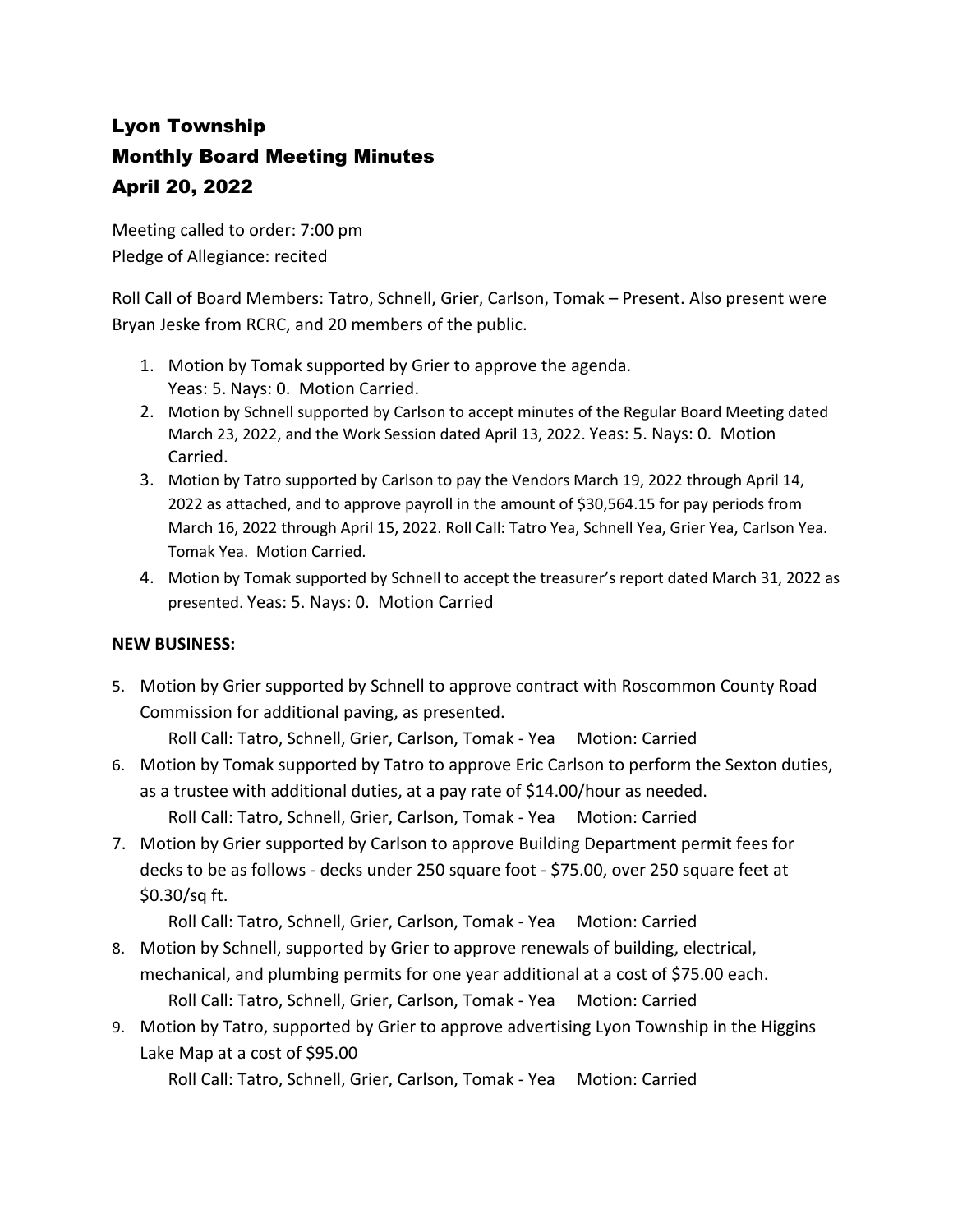## Lyon Township Monthly Board Meeting Minutes April 20, 2022

Meeting called to order: 7:00 pm Pledge of Allegiance: recited

Roll Call of Board Members: Tatro, Schnell, Grier, Carlson, Tomak – Present. Also present were Bryan Jeske from RCRC, and 20 members of the public.

- 1. Motion by Tomak supported by Grier to approve the agenda. Yeas: 5. Nays: 0. Motion Carried.
- 2. Motion by Schnell supported by Carlson to accept minutes of the Regular Board Meeting dated March 23, 2022, and the Work Session dated April 13, 2022. Yeas: 5. Nays: 0. Motion Carried.
- 3. Motion by Tatro supported by Carlson to pay the Vendors March 19, 2022 through April 14, 2022 as attached, and to approve payroll in the amount of \$30,564.15 for pay periods from March 16, 2022 through April 15, 2022. Roll Call: Tatro Yea, Schnell Yea, Grier Yea, Carlson Yea. Tomak Yea. Motion Carried.
- 4. Motion by Tomak supported by Schnell to accept the treasurer's report dated March 31, 2022 as presented. Yeas: 5. Nays: 0. Motion Carried

## **NEW BUSINESS:**

5. Motion by Grier supported by Schnell to approve contract with Roscommon County Road Commission for additional paving, as presented.

Roll Call: Tatro, Schnell, Grier, Carlson, Tomak - Yea Motion: Carried

6. Motion by Tomak supported by Tatro to approve Eric Carlson to perform the Sexton duties, as a trustee with additional duties, at a pay rate of \$14.00/hour as needed.

Roll Call: Tatro, Schnell, Grier, Carlson, Tomak - Yea Motion: Carried

7. Motion by Grier supported by Carlson to approve Building Department permit fees for decks to be as follows - decks under 250 square foot - \$75.00, over 250 square feet at \$0.30/sq ft.

Roll Call: Tatro, Schnell, Grier, Carlson, Tomak - Yea Motion: Carried

- 8. Motion by Schnell, supported by Grier to approve renewals of building, electrical, mechanical, and plumbing permits for one year additional at a cost of \$75.00 each. Roll Call: Tatro, Schnell, Grier, Carlson, Tomak - Yea Motion: Carried
- 9. Motion by Tatro, supported by Grier to approve advertising Lyon Township in the Higgins Lake Map at a cost of \$95.00

Roll Call: Tatro, Schnell, Grier, Carlson, Tomak - Yea Motion: Carried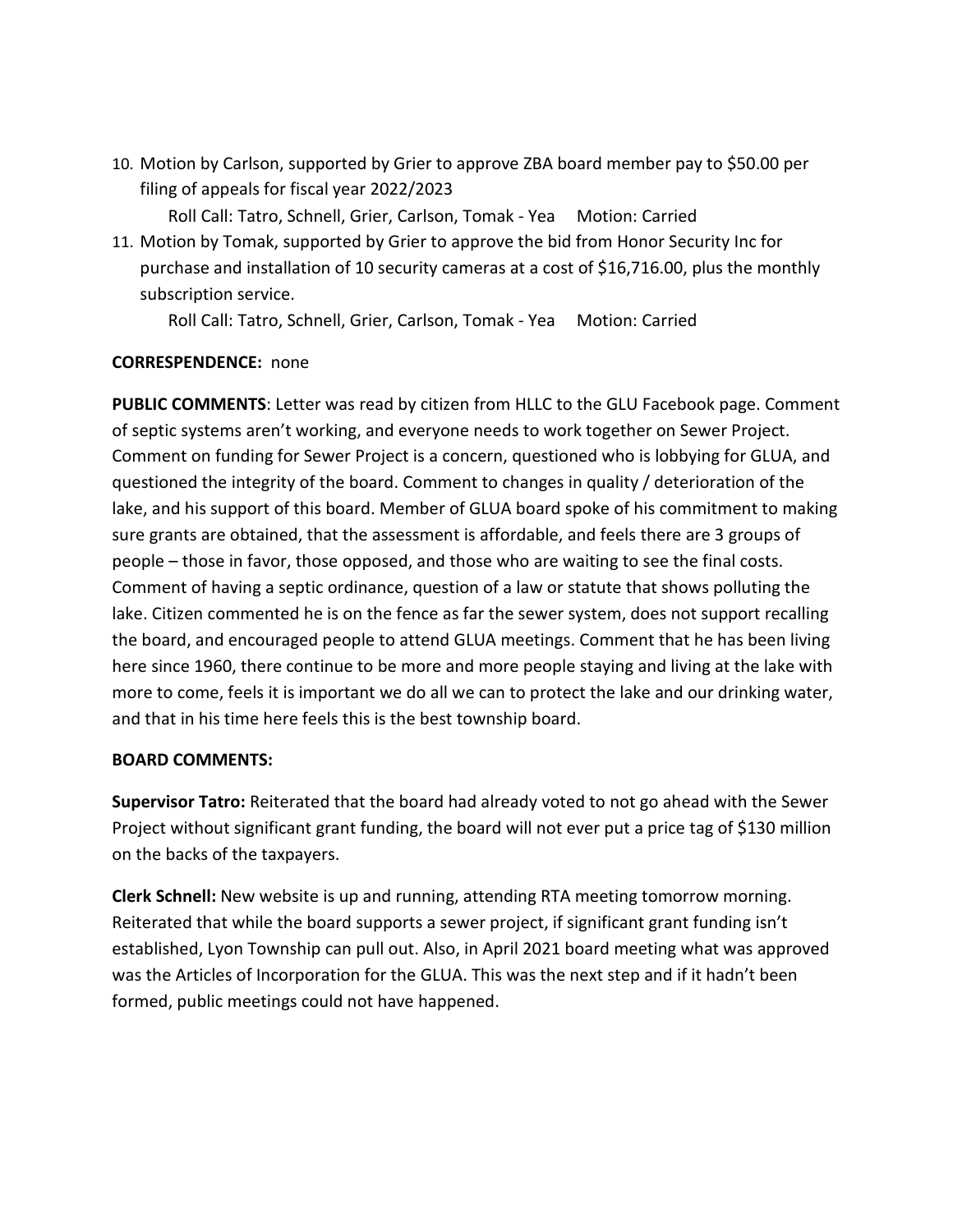- 10. Motion by Carlson, supported by Grier to approve ZBA board member pay to \$50.00 per filing of appeals for fiscal year 2022/2023 Roll Call: Tatro, Schnell, Grier, Carlson, Tomak - Yea Motion: Carried
- 11. Motion by Tomak, supported by Grier to approve the bid from Honor Security Inc for purchase and installation of 10 security cameras at a cost of \$16,716.00, plus the monthly subscription service.

Roll Call: Tatro, Schnell, Grier, Carlson, Tomak - Yea Motion: Carried

## **CORRESPENDENCE:** none

**PUBLIC COMMENTS**: Letter was read by citizen from HLLC to the GLU Facebook page. Comment of septic systems aren't working, and everyone needs to work together on Sewer Project. Comment on funding for Sewer Project is a concern, questioned who is lobbying for GLUA, and questioned the integrity of the board. Comment to changes in quality / deterioration of the lake, and his support of this board. Member of GLUA board spoke of his commitment to making sure grants are obtained, that the assessment is affordable, and feels there are 3 groups of people – those in favor, those opposed, and those who are waiting to see the final costs. Comment of having a septic ordinance, question of a law or statute that shows polluting the lake. Citizen commented he is on the fence as far the sewer system, does not support recalling the board, and encouraged people to attend GLUA meetings. Comment that he has been living here since 1960, there continue to be more and more people staying and living at the lake with more to come, feels it is important we do all we can to protect the lake and our drinking water, and that in his time here feels this is the best township board.

## **BOARD COMMENTS:**

**Supervisor Tatro:** Reiterated that the board had already voted to not go ahead with the Sewer Project without significant grant funding, the board will not ever put a price tag of \$130 million on the backs of the taxpayers.

**Clerk Schnell:** New website is up and running, attending RTA meeting tomorrow morning. Reiterated that while the board supports a sewer project, if significant grant funding isn't established, Lyon Township can pull out. Also, in April 2021 board meeting what was approved was the Articles of Incorporation for the GLUA. This was the next step and if it hadn't been formed, public meetings could not have happened.